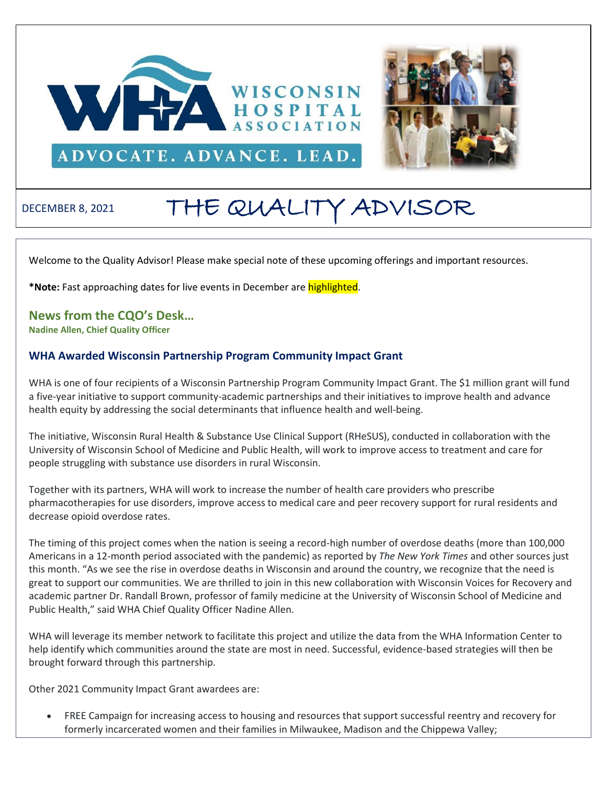



# DECEMBER 8, 2021 THE QUALITY ADVISOR

Welcome to the Quality Advisor! Please make special note of these upcoming offerings and important resources.

**\*Note:** Fast approaching dates for live events in December are highlighted.

**News from the CQO's Desk… Nadine Allen, Chief Quality Officer**

# **WHA Awarded Wisconsin Partnership Program Community Impact Grant**

WHA is one of four recipients of a Wisconsin Partnership Program Community Impact Grant. The \$1 million grant will fund a five-year initiative to support community-academic partnerships and their initiatives to improve health and advance health equity by addressing the social determinants that influence health and well-being.

The initiative, Wisconsin Rural Health & Substance Use Clinical Support (RHeSUS), conducted in collaboration with the University of Wisconsin School of Medicine and Public Health, will work to improve access to treatment and care for people struggling with substance use disorders in rural Wisconsin.

Together with its partners, WHA will work to increase the number of health care providers who prescribe pharmacotherapies for use disorders, improve access to medical care and peer recovery support for rural residents and decrease opioid overdose rates.

The timing of this project comes when the nation is seeing a record-high number of overdose deaths (more than 100,000 Americans in a 12-month period associated with the pandemic) as reported by *The New York Times* and other sources just this month. "As we see the rise in overdose deaths in Wisconsin and around the country, we recognize that the need is great to support our communities. We are thrilled to join in this new collaboration with Wisconsin Voices for Recovery and academic partner Dr. Randall Brown, professor of family medicine at the University of Wisconsin School of Medicine and Public Health," said WHA Chief Quality Officer Nadine Allen.

WHA will leverage its member network to facilitate this project and utilize the data from the WHA Information Center to help identify which communities around the state are most in need. Successful, evidence-based strategies will then be brought forward through this partnership.

Other 2021 Community Impact Grant awardees are:

• FREE Campaign for increasing access to housing and resources that support successful reentry and recovery for formerly incarcerated women and their families in Milwaukee, Madison and the Chippewa Valley;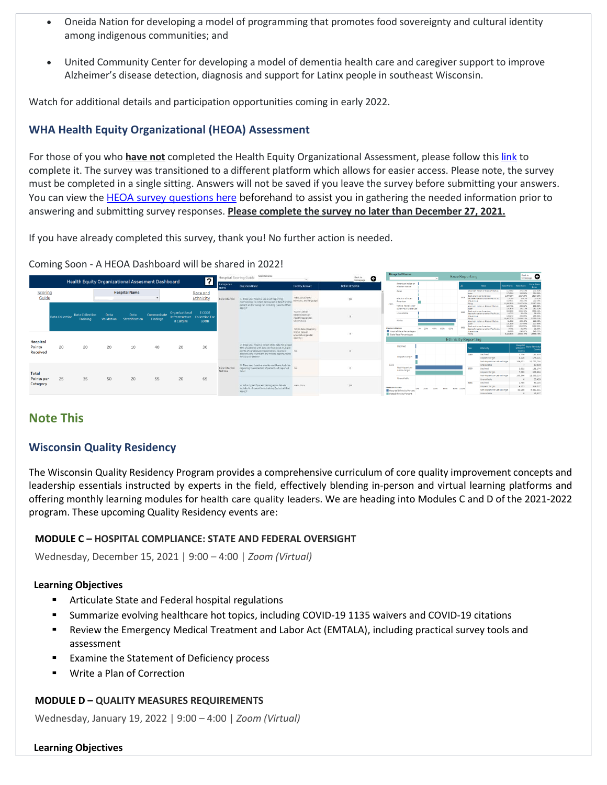- Oneida Nation for developing a model of programming that promotes food sovereignty and cultural identity among indigenous communities; and
- United Community Center for developing a model of dementia health care and caregiver support to improve Alzheimer's disease detection, diagnosis and support for Latinx people in southeast Wisconsin.

Watch for additional details and participation opportunities coming in early 2022.

# **WHA Health Equity Organizational (HEOA) Assessment**

For those of you who **have not** completed the Health Equity Organizational Assessment, please follow thi[s link](https://forms.office.com/r/SxDLb9hsUg) to complete it. The survey was transitioned to a different platform which allows for easier access. Please note, the survey must be completed in a single sitting. Answers will not be saved if you leave the survey before submitting your answers. You can view the HEOA survey [questions here](http://www.wha.org/Home/Common-PDFs/Final-HEOA-Survey-(Long-Version)12-8-21.pdf) beforehand to assist you in gathering the needed information prior to answering and submitting survey responses. **Please complete the survey no later than December 27, 2021.**

If you have already completed this survey, thank you! No further action is needed.

#### Coming Soon - A HEOA Dashboard will be shared in 2022!

|                                |                 |                                                  |                    |                               |                                |                                               | $\overline{\mathbf{r}}$                        |                             | hospitalname<br><b>Hospital Scoring Guide</b>                                                                                                                                                                    | Rack to<br>G<br>homepage                                                    |                                                                                        | <b>Hospital Name</b>                                                  |                                                  | Race Reporting                                     |                                                                                                                                                |                                                                               | Back to <b>G</b>                              |                                                                             |
|--------------------------------|-----------------|--------------------------------------------------|--------------------|-------------------------------|--------------------------------|-----------------------------------------------|------------------------------------------------|-----------------------------|------------------------------------------------------------------------------------------------------------------------------------------------------------------------------------------------------------------|-----------------------------------------------------------------------------|----------------------------------------------------------------------------------------|-----------------------------------------------------------------------|--------------------------------------------------|----------------------------------------------------|------------------------------------------------------------------------------------------------------------------------------------------------|-------------------------------------------------------------------------------|-----------------------------------------------|-----------------------------------------------------------------------------|
|                                |                 | Health Equity Organizational Assesment Dashboard |                    |                               |                                |                                               |                                                | Categories<br><b>Uamras</b> | Question Name                                                                                                                                                                                                    | <b>Facility Answer</b>                                                      | Bellin Hospital                                                                        | American Indian or<br>Alaskan Native                                  |                                                  |                                                    | <b>Bace</b>                                                                                                                                    | <b>Baco Visits Baco Bate</b>                                                  |                                               | State Race<br>Rate                                                          |
| Scoring<br>Guide               |                 |                                                  |                    | <b>Hospital Name</b>          |                                |                                               | Race and<br>Ethnicity                          | Data Collection             | 1. Does your hospital use a self-reporting<br>methodology to collect demographic data from the<br>patient and/or caregiver, including (select all that                                                           | REAL data (race.<br>ethnicity, and language)                                | Asian<br>Black or African<br>10 <sup>°</sup><br>American<br>2021<br>Native Hawaiian or |                                                                       |                                                  | <b>Anima</b><br>2029<br>Unauadable<br><b>White</b> | American Indian or Alaskan Native<br>Black or Micron American<br>Native Hawaiian or other Pacific Isl<br>dimensionen Indian dir Alaskan Native | 112.492<br>174,264<br>1.004.054<br>15,590<br>162,311<br>11.035.510<br>100.441 | 271.51%<br>21157.03%                          | 271.52%<br>294,55%<br>3517.209<br>55,829<br>299,229<br>21157.009<br>260 529 |
|                                | Data Collection | <b>Data Collection</b><br>Training               | Data<br>Validation | Data<br><b>Stratification</b> | Communicate<br><b>Findings</b> | Organizational<br>Infrastructure<br>& Culture | Z CODE<br><b>Collection For</b><br><b>SDOH</b> |                             | apply)?                                                                                                                                                                                                          | SOOH (Social<br>Determinants of<br>Health Veocial risk<br>factors data      |                                                                                        | other Pacific Islander<br>Unavailable<br>White                        |                                                  | 2020<br>Unausfable<br>Villate<br><b>Green</b>      | Black or African American<br>lative Hauslian or other Pacific Isl.<br>American Indian or Alaskan Native                                        | 152,976<br>903, 693<br>14,712<br>103,272<br>10,467,270<br>61.302<br>101.009   | 556.16%<br>16.47%                             | 191,319<br>1556.169<br>35,42%<br>286,691<br>23099.239<br>229,409<br>207,64% |
|                                |                 |                                                  |                    |                               |                                |                                               |                                                |                             |                                                                                                                                                                                                                  | SO/GI data (disability<br>status, sexual<br>orientation/pender<br>idantity) |                                                                                        | Measure Names<br>Prospital Race Percentages<br>State Race Percentages | 0% 20% 40% 60% 80%<br><b>Ethnicity Reporting</b> | 2021<br>Unavailable<br>White:                      | Risch ar African American<br>Native Hexalian or other Pacific lat.                                                                             | 566.932<br>9,761<br>60,688<br>6,433,635 19556,79% 19556,79%                   | 340.22%                                       | 1258,664<br>81, 26%<br>240,229                                              |
| Hospital<br>Points<br>Received | 20              | 20                                               | 20                 | 10                            | 40                             | 20                                            | 30                                             |                             | 2. Does your hospital collect REAL data for at least<br>99% of patients with data verification at multiple<br>points of care (beyond registration) to ensure<br>accuracy and to prevent any missed opportunities | NQ                                                                          |                                                                                        | Declined                                                              |                                                  | <b>Caller</b>                                      | <b>Chricky</b>                                                                                                                                 |                                                                               | <b>Hospital</b><br>Ethnicity<br><b>Counts</b> | <b>State Ethnici</b><br>Count<br>132,056                                    |
|                                |                 |                                                  |                    |                               |                                |                                               |                                                |                             | for data collection?                                                                                                                                                                                             |                                                                             |                                                                                        | <b>Hispanic Origin</b><br>2021                                        |                                                  | 2019                                               | Declined<br><b>Hispanic Origin</b><br>Not Hispanic or Latino Origin<br>Unavailable                                                             |                                                                               | 2.776<br>0.126<br>196.90                      | 576,225<br>12,777.70<br>32,928                                              |
| Total                          |                 |                                                  |                    |                               |                                |                                               |                                                | Data Collection<br>Training | 3. Does your hospital provide workforce training<br>regarding the collection of patient self-reported No.<br>data?                                                                                               |                                                                             |                                                                                        | Not Hispanic or<br>Latino Origin                                      |                                                  | 2020                                               | Declined<br><b>Hispanic Origin</b><br>Not Hispanic or Latino Origin                                                                            |                                                                               | 2,602<br>7.269<br>165,346                     | 131,174<br>604.694<br>11,268,214                                            |
| Points per<br>Category         | 25              | 35                                               | 50                 | 20                            | 55                             | 20                                            | 65                                             |                             | 4. What type of patient demographic data is<br>included in the workforce training (select all that                                                                                                               | REAL data                                                                   | $30 -$                                                                                 | Unavailable<br><b>Measure Names</b><br>20%                            | 40% 60% 80% 100%                                 | 2021                                               | <b>Unavailable</b><br>Declined<br><b>Hispanic Origin</b>                                                                                       |                                                                               | 1.765<br>4.103                                | 20,429<br>92,125<br>329,517                                                 |
|                                |                 |                                                  |                    |                               |                                |                                               |                                                |                             | apply)?                                                                                                                                                                                                          |                                                                             |                                                                                        | Hospital Ethnicity Percent<br>State Ethnicity Percent                 |                                                  |                                                    | Not Hispanic or Latino Origin<br>Unavailable                                                                                                   |                                                                               | 09.540                                        | 6,005.453<br>14.527                                                         |

# **Note This**

# **Wisconsin Quality Residency**

The Wisconsin Quality Residency Program provides a comprehensive curriculum of core quality improvement concepts and leadership essentials instructed by experts in the field, effectively blending in-person and virtual learning platforms and offering monthly learning modules for health care quality leaders. We are heading into Modules C and D of the 2021-2022 program. These upcoming Quality Residency events are:

#### **MODULE C – HOSPITAL COMPLIANCE: STATE AND FEDERAL OVERSIGHT**

Wednesday, December 15, 2021 | 9:00 – 4:00 | *Zoom (Virtual)*

#### **Learning Objectives**

- **E** Articulate State and Federal hospital regulations
- Summarize evolving healthcare hot topics, including COVID-19 1135 waivers and COVID-19 citations
- Review the Emergency Medical Treatment and Labor Act (EMTALA), including practical survey tools and assessment
- Examine the Statement of Deficiency process
- Write a Plan of Correction

#### **MODULE D – QUALITY MEASURES REQUIREMENTS**

Wednesday, January 19, 2022 | 9:00 – 4:00 | *Zoom (Virtual)*

#### **Learning Objectives**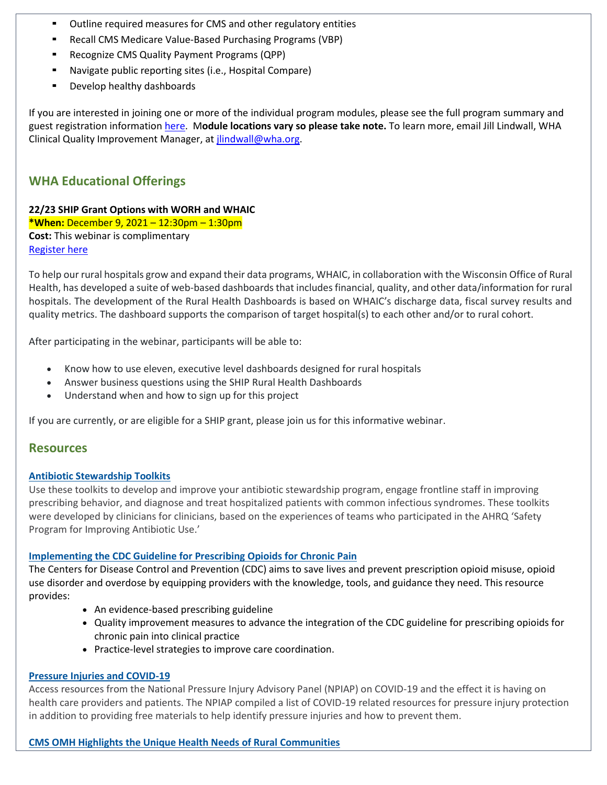- Outline required measures for CMS and other regulatory entities
- Recall CMS Medicare Value-Based Purchasing Programs (VBP)
- Recognize CMS Quality Payment Programs (QPP)
- Navigate public reporting sites (i.e., Hospital Compare)
- Develop healthy dashboards

If you are interested in joining one or more of the individual program modules, please see the full program summary and guest registration information [here.](http://www.wha.org/Home/Common-PDFs/WI-QR-ProgramGUEST-SCHEDULE-2021.pdf) M**odule locations vary so please take note.** To learn more, email Jill Lindwall, WHA Clinical Quality Improvement Manager, a[t jlindwall@wha.org.](mailto:jlindwall@wha.org)

# **WHA Educational Offerings**

**22/23 SHIP Grant Options with WORH and WHAIC \*When:** December 9, 2021 – 12:30pm – 1:30pm **Cost:** This webinar is complimentary [Register here](https://www.wha.org/AboutWHA/CalendarofEvents/Webinar-Online-Education/SHIP-Session-2-(2)?_zs=10TgM1&_zl=a76W6)

To help our rural hospitals grow and expand their data programs, WHAIC, in collaboration with the Wisconsin Office of Rural Health, has developed a suite of web-based dashboards that includes financial, quality, and other data/information for rural hospitals. The development of the Rural Health Dashboards is based on WHAIC's discharge data, fiscal survey results and quality metrics. The dashboard supports the comparison of target hospital(s) to each other and/or to rural cohort.

After participating in the webinar, participants will be able to:

- Know how to use eleven, executive level dashboards designed for rural hospitals
- Answer business questions using the SHIP Rural Health Dashboards
- Understand when and how to sign up for this project

If you are currently, or are eligible for a SHIP grant, please join us for this informative webinar.

# **Resources**

#### **[Antibiotic Stewardship Toolkits](https://r20.rs6.net/tn.jsp?f=001v4OIUJwY6XO3AnyWS3wRz1DtXRMFSa6TZxDIbzzUTkVCO4Ib7umXkwZ_u-7-zXjqw_Dd93OrgyInpbhH1vyflBeJ5BXfhtrztTqvV_ev1Ew319eI80lQayUsNPJf5pKMtP7llWG4HNGOqiZHX_0kuXovfDRjPdnnKa3xhmoAy9vhqy4ZCVW4bQ==&c=zeZa4lRYIMuRTjEOWsZcoKXFoOnl6TL1OyqRlY8vmp-Aiuqn6QHD1w==&ch=esPrasz1URwfh4c0VN32g0mHF3ESLrocgQv3xt6GCF2Nn9o2sep20g==)**

Use these toolkits to develop and improve your antibiotic stewardship program, engage frontline staff in improving prescribing behavior, and diagnose and treat hospitalized patients with common infectious syndromes. These toolkits were developed by clinicians for clinicians, based on the experiences of teams who participated in the AHRQ 'Safety Program for Improving Antibiotic Use.'

#### **[Implementing the CDC Guideline for Prescribing Opioids for Chronic Pain](https://r20.rs6.net/tn.jsp?f=001v4OIUJwY6XO3AnyWS3wRz1DtXRMFSa6TZxDIbzzUTkVCO4Ib7umXkwZ_u-7-zXjq_MpuzgiesrtE5k6h047ZUNCAvemlS1o9yaiDKo1gE9A9tKUT6MbQ8iVq7vZvhP8Sy5wgt1RU0e2B-DVZ0vQKw2zqpDqQYGM2r-EDHs03yt4tUrv9-taUi66CWEb3QhHHDQrEE7-4SKjWevhz8EVmchrrivswvwiIO-oNlLS-kKKw8kYhoKBqkw==&c=zeZa4lRYIMuRTjEOWsZcoKXFoOnl6TL1OyqRlY8vmp-Aiuqn6QHD1w==&ch=esPrasz1URwfh4c0VN32g0mHF3ESLrocgQv3xt6GCF2Nn9o2sep20g==)**

The Centers for Disease Control and Prevention (CDC) aims to save lives and prevent prescription opioid misuse, opioid use disorder and overdose by equipping providers with the knowledge, tools, and guidance they need. This resource provides:

- An evidence-based prescribing guideline
- Quality improvement measures to advance the integration of the CDC guideline for prescribing opioids for chronic pain into clinical practice
- Practice-level strategies to improve care coordination.

#### **[Pressure Injuries and COVID-19](https://r20.rs6.net/tn.jsp?f=001v4OIUJwY6XO3AnyWS3wRz1DtXRMFSa6TZxDIbzzUTkVCO4Ib7umXkwZ_u-7-zXjqETo0nCDbQ0DEkr0QHrc4lnymcxlEUp0Bd0ZgUlHNMH9QYaLUvThchr9fY4cBY0s9ia6RgoQsGy_DbVP_HubhQhLscOdIbu5L&c=zeZa4lRYIMuRTjEOWsZcoKXFoOnl6TL1OyqRlY8vmp-Aiuqn6QHD1w==&ch=esPrasz1URwfh4c0VN32g0mHF3ESLrocgQv3xt6GCF2Nn9o2sep20g==)**

Access resources from the National Pressure Injury Advisory Panel (NPIAP) on COVID-19 and the effect it is having on health care providers and patients. The NPIAP compiled a list of COVID-19 related resources for pressure injury protection in addition to providing free materials to help identify pressure injuries and how to prevent them.

#### **[CMS OMH Highlights the Unique Health Needs of Rural Communities](https://r20.rs6.net/tn.jsp?f=001v4OIUJwY6XO3AnyWS3wRz1DtXRMFSa6TZxDIbzzUTkVCO4Ib7umXkwZ_u-7-zXjqFnfYydQdPWzf07F7O0Iqwz5JUTN9mgInKOOWwlJTWL-jw_eEYkmjiJroCZFLjogn1saYfn9NjMPTPRtZyN_eKEV3cHJeXiVuLctpTOPd6fvHsmqv7k5Oqw-XhqmVTDuS2YFzqAbLwBW6cMU7s5CLpw==&c=zeZa4lRYIMuRTjEOWsZcoKXFoOnl6TL1OyqRlY8vmp-Aiuqn6QHD1w==&ch=esPrasz1URwfh4c0VN32g0mHF3ESLrocgQv3xt6GCF2Nn9o2sep20g==)**